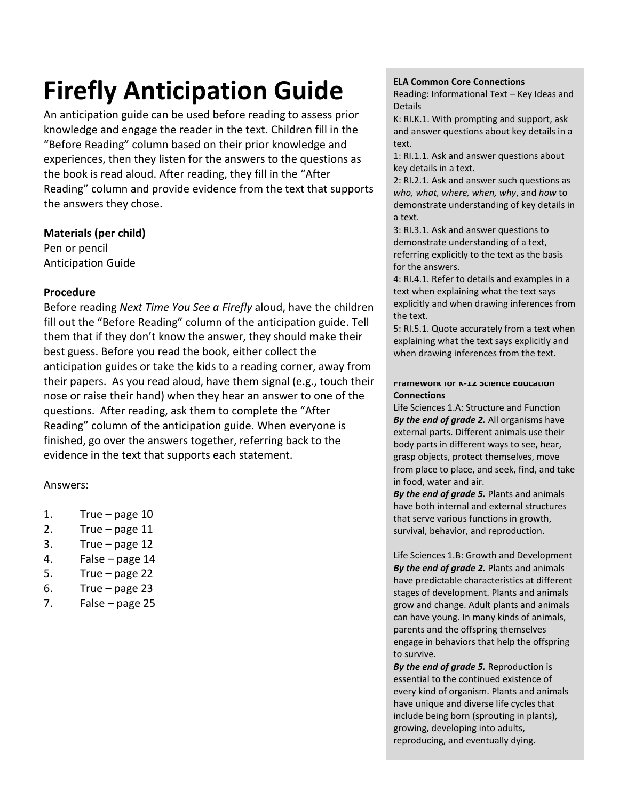# **Firefly Anticipation Guide**

An anticipation guide can be used before reading to assess prior knowledge and engage the reader in the text. Children fill in the "Before Reading" column based on their prior knowledge and experiences, then they listen for the answers to the questions as the book is read aloud. After reading, they fill in the "After Reading" column and provide evidence from the text that supports the answers they chose.

#### **Materials (per child)**

Pen or pencil Anticipation Guide

## **Procedure**

Before reading *Next Time You See a Firefly* aloud, have the children fill out the "Before Reading" column of the anticipation guide. Tell them that if they don't know the answer, they should make their best guess. Before you read the book, either collect the anticipation guides or take the kids to a reading corner, away from their papers. As you read aloud, have them signal (e.g., touch their nose or raise their hand) when they hear an answer to one of the questions. After reading, ask them to complete the "After Reading" column of the anticipation guide. When everyone is finished, go over the answers together, referring back to the evidence in the text that supports each statement.

## Answers:

- 1. True page 10
- 2. True page 11
- 3. True page 12
- 4. False page 14
- 5. True page 22
- 6. True page 23
- 7. False page 25

#### **ELA Common Core Connections**

Reading: Informational Text – Key Ideas and Details

K: RI.K.1. With prompting and support, ask and answer questions about key details in a text.

1: RI.1.1. Ask and answer questions about key details in a text.

2: RI.2.1. Ask and answer such questions as *who, what, where, when, why*, and *how* to demonstrate understanding of key details in a text.

3: RI.3.1. Ask and answer questions to demonstrate understanding of a text, referring explicitly to the text as the basis for the answers.

4: RI.4.1. Refer to details and examples in a text when explaining what the text says explicitly and when drawing inferences from the text.

5: RI.5.1. Quote accurately from a text when explaining what the text says explicitly and when drawing inferences from the text.

#### **Framework for K-12 Science Education Connections**

Life Sciences 1.A: Structure and Function *By the end of grade 2.* All organisms have external parts. Different animals use their body parts in different ways to see, hear, grasp objects, protect themselves, move from place to place, and seek, find, and take in food, water and air.

*By the end of grade 5.* Plants and animals have both internal and external structures that serve various functions in growth, survival, behavior, and reproduction.

Life Sciences 1.B: Growth and Development *By the end of grade 2.* Plants and animals have predictable characteristics at different stages of development. Plants and animals grow and change. Adult plants and animals can have young. In many kinds of animals, parents and the offspring themselves engage in behaviors that help the offspring to survive.

*By the end of grade 5.* Reproduction is essential to the continued existence of every kind of organism. Plants and animals have unique and diverse life cycles that include being born (sprouting in plants), growing, developing into adults, reproducing, and eventually dying.